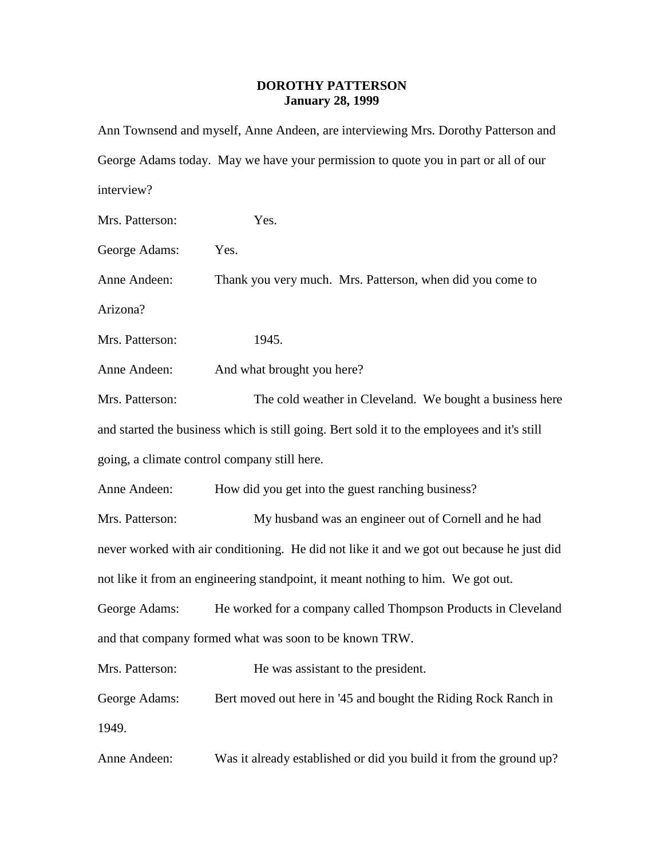## **DOROTHY PATTERSON January 28, 1999**

|                                                                                           | Ann Townsend and myself, Anne Andeen, are interviewing Mrs. Dorothy Patterson and           |  |
|-------------------------------------------------------------------------------------------|---------------------------------------------------------------------------------------------|--|
|                                                                                           | George Adams today. May we have your permission to quote you in part or all of our          |  |
| interview?                                                                                |                                                                                             |  |
| Mrs. Patterson:                                                                           | Yes.                                                                                        |  |
| George Adams:                                                                             | Yes.                                                                                        |  |
| Anne Andeen:                                                                              | Thank you very much. Mrs. Patterson, when did you come to                                   |  |
| Arizona?                                                                                  |                                                                                             |  |
| Mrs. Patterson:                                                                           | 1945.                                                                                       |  |
| Anne Andeen:                                                                              | And what brought you here?                                                                  |  |
| Mrs. Patterson:                                                                           | The cold weather in Cleveland. We bought a business here                                    |  |
|                                                                                           | and started the business which is still going. Bert sold it to the employees and it's still |  |
| going, a climate control company still here.                                              |                                                                                             |  |
| Anne Andeen:                                                                              | How did you get into the guest ranching business?                                           |  |
| Mrs. Patterson:                                                                           | My husband was an engineer out of Cornell and he had                                        |  |
| never worked with air conditioning. He did not like it and we got out because he just did |                                                                                             |  |
| not like it from an engineering standpoint, it meant nothing to him. We got out.          |                                                                                             |  |
|                                                                                           | George Adams: He worked for a company called Thompson Products in Cleveland                 |  |
| and that company formed what was soon to be known TRW.                                    |                                                                                             |  |
| Mrs. Patterson:                                                                           | He was assistant to the president.                                                          |  |
| George Adams:                                                                             | Bert moved out here in '45 and bought the Riding Rock Ranch in                              |  |
| 1949.                                                                                     |                                                                                             |  |
| Anne Andeen:                                                                              | Was it already established or did you build it from the ground up?                          |  |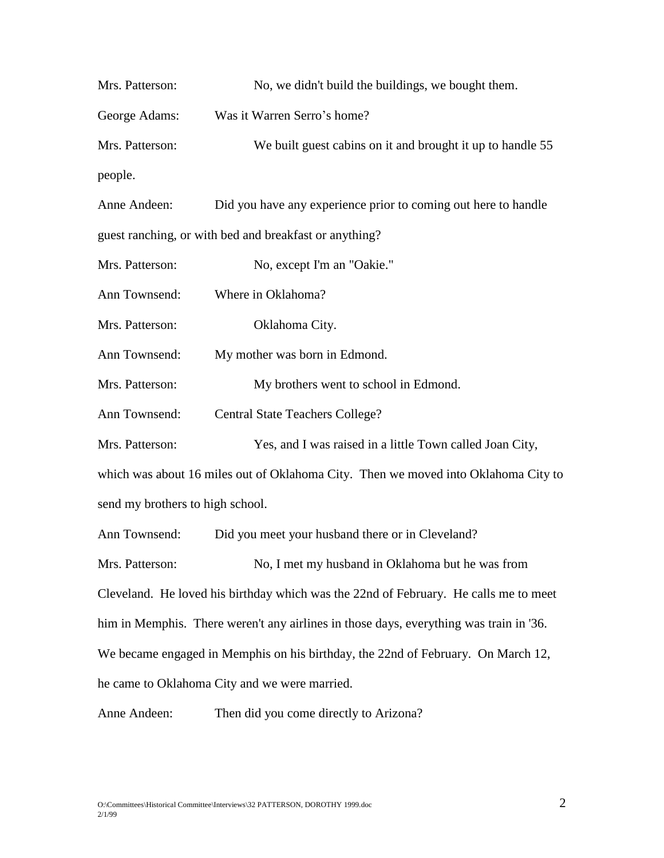| Mrs. Patterson:                  | No, we didn't build the buildings, we bought them.                                     |
|----------------------------------|----------------------------------------------------------------------------------------|
| George Adams:                    | Was it Warren Serro's home?                                                            |
| Mrs. Patterson:                  | We built guest cabins on it and brought it up to handle 55                             |
| people.                          |                                                                                        |
| Anne Andeen:                     | Did you have any experience prior to coming out here to handle                         |
|                                  | guest ranching, or with bed and breakfast or anything?                                 |
| Mrs. Patterson:                  | No, except I'm an "Oakie."                                                             |
| Ann Townsend:                    | Where in Oklahoma?                                                                     |
| Mrs. Patterson:                  | Oklahoma City.                                                                         |
| Ann Townsend:                    | My mother was born in Edmond.                                                          |
| Mrs. Patterson:                  | My brothers went to school in Edmond.                                                  |
| Ann Townsend:                    | <b>Central State Teachers College?</b>                                                 |
| Mrs. Patterson:                  | Yes, and I was raised in a little Town called Joan City,                               |
|                                  | which was about 16 miles out of Oklahoma City. Then we moved into Oklahoma City to     |
| send my brothers to high school. |                                                                                        |
| Ann Townsend:                    | Did you meet your husband there or in Cleveland?                                       |
| Mrs. Patterson:                  | No, I met my husband in Oklahoma but he was from                                       |
|                                  | Cleveland. He loved his birthday which was the 22nd of February. He calls me to meet   |
|                                  | him in Memphis. There weren't any airlines in those days, everything was train in '36. |
|                                  | We became engaged in Memphis on his birthday, the 22nd of February. On March 12,       |
|                                  | he came to Oklahoma City and we were married.                                          |
| Anne Andeen:                     | Then did you come directly to Arizona?                                                 |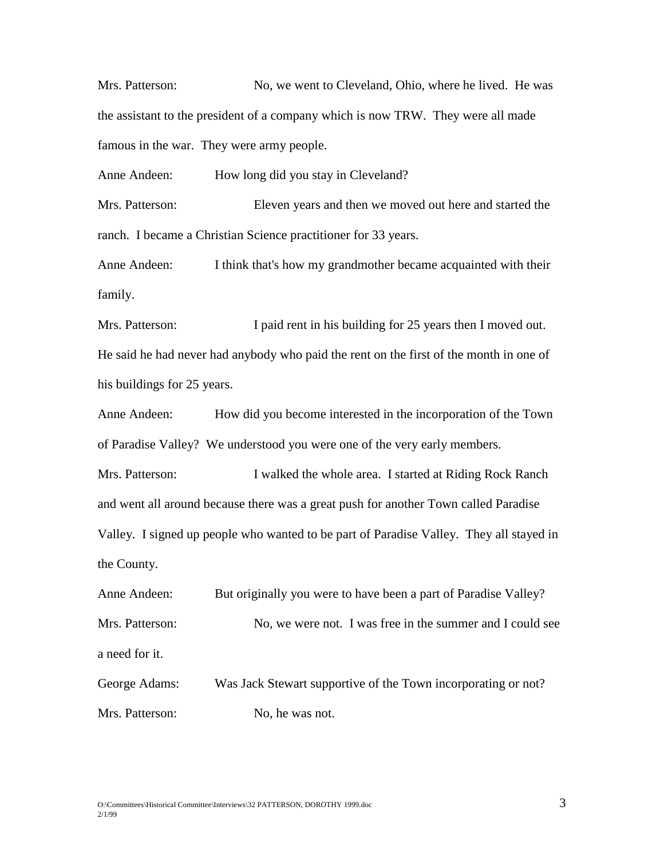Mrs. Patterson: No, we went to Cleveland, Ohio, where he lived. He was the assistant to the president of a company which is now TRW. They were all made famous in the war. They were army people.

Anne Andeen: How long did you stay in Cleveland?

Mrs. Patterson: Eleven years and then we moved out here and started the ranch. I became a Christian Science practitioner for 33 years.

Anne Andeen: I think that's how my grandmother became acquainted with their family.

Mrs. Patterson: I paid rent in his building for 25 years then I moved out. He said he had never had anybody who paid the rent on the first of the month in one of his buildings for 25 years.

Anne Andeen: How did you become interested in the incorporation of the Town of Paradise Valley? We understood you were one of the very early members.

Mrs. Patterson: I walked the whole area. I started at Riding Rock Ranch and went all around because there was a great push for another Town called Paradise Valley. I signed up people who wanted to be part of Paradise Valley. They all stayed in the County.

Anne Andeen: But originally you were to have been a part of Paradise Valley? Mrs. Patterson: No, we were not. I was free in the summer and I could see a need for it. George Adams: Was Jack Stewart supportive of the Town incorporating or not?

Mrs. Patterson: No, he was not.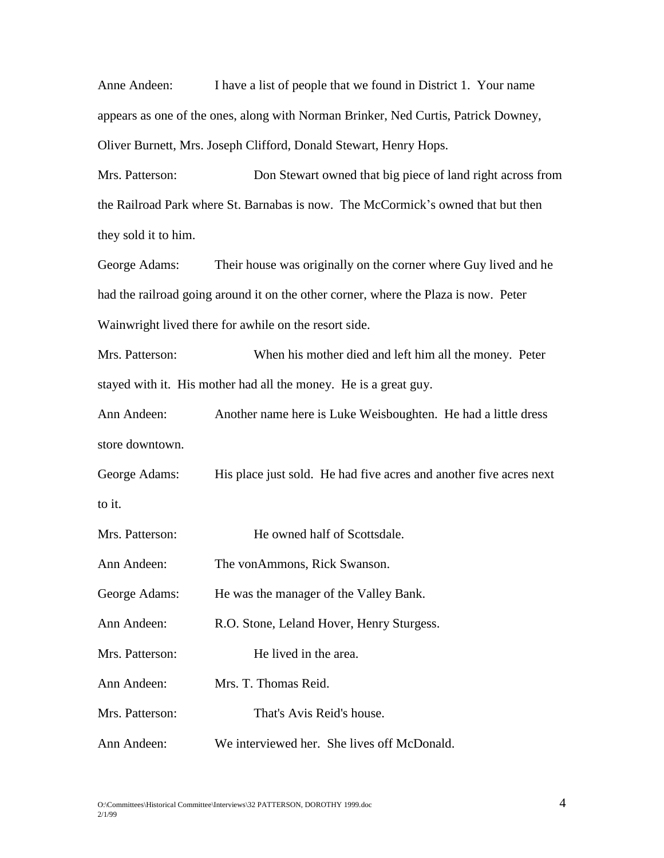Anne Andeen: I have a list of people that we found in District 1. Your name appears as one of the ones, along with Norman Brinker, Ned Curtis, Patrick Downey, Oliver Burnett, Mrs. Joseph Clifford, Donald Stewart, Henry Hops.

Mrs. Patterson: Don Stewart owned that big piece of land right across from the Railroad Park where St. Barnabas is now. The McCormick's owned that but then they sold it to him.

George Adams: Their house was originally on the corner where Guy lived and he had the railroad going around it on the other corner, where the Plaza is now. Peter Wainwright lived there for awhile on the resort side.

Mrs. Patterson: When his mother died and left him all the money. Peter stayed with it. His mother had all the money. He is a great guy.

Ann Andeen: Another name here is Luke Weisboughten. He had a little dress store downtown.

George Adams: His place just sold. He had five acres and another five acres next to it.

| Mrs. Patterson: | He owned half of Scottsdale.                |
|-----------------|---------------------------------------------|
| Ann Andeen:     | The vonAmmons, Rick Swanson.                |
| George Adams:   | He was the manager of the Valley Bank.      |
| Ann Andeen:     | R.O. Stone, Leland Hover, Henry Sturgess.   |
| Mrs. Patterson: | He lived in the area.                       |
| Ann Andeen:     | Mrs. T. Thomas Reid.                        |
| Mrs. Patterson: | That's Avis Reid's house.                   |
| Ann Andeen:     | We interviewed her. She lives off McDonald. |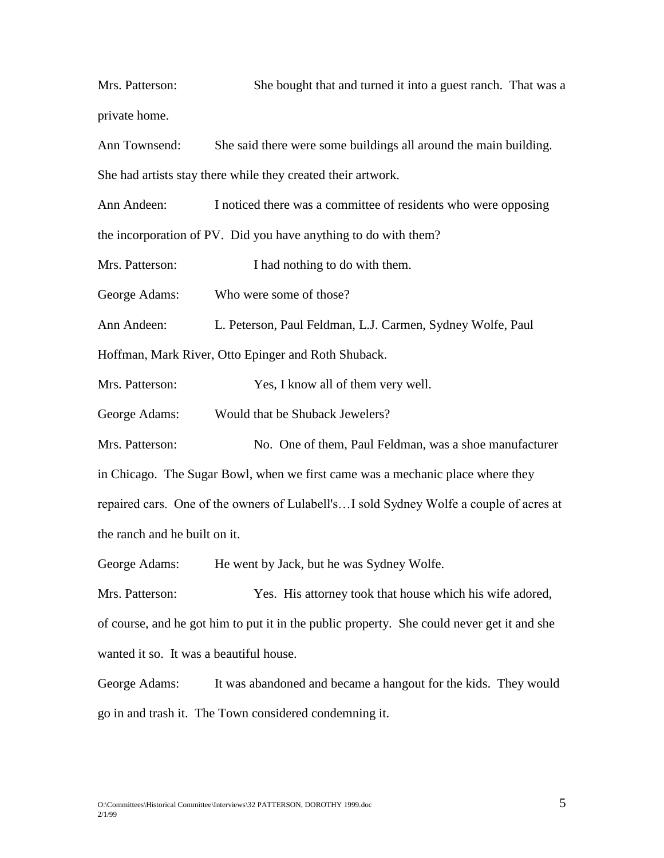Mrs. Patterson: She bought that and turned it into a guest ranch. That was a private home.

Ann Townsend: She said there were some buildings all around the main building. She had artists stay there while they created their artwork.

Ann Andeen: I noticed there was a committee of residents who were opposing the incorporation of PV. Did you have anything to do with them?

Mrs. Patterson: I had nothing to do with them.

George Adams: Who were some of those?

Ann Andeen: L. Peterson, Paul Feldman, L.J. Carmen, Sydney Wolfe, Paul

Hoffman, Mark River, Otto Epinger and Roth Shuback.

Mrs. Patterson: Yes, I know all of them very well.

George Adams: Would that be Shuback Jewelers?

Mrs. Patterson: No. One of them, Paul Feldman, was a shoe manufacturer in Chicago. The Sugar Bowl, when we first came was a mechanic place where they repaired cars. One of the owners of Lulabell's…I sold Sydney Wolfe a couple of acres at the ranch and he built on it.

George Adams: He went by Jack, but he was Sydney Wolfe.

Mrs. Patterson: Yes. His attorney took that house which his wife adored, of course, and he got him to put it in the public property. She could never get it and she wanted it so. It was a beautiful house.

George Adams: It was abandoned and became a hangout for the kids. They would go in and trash it. The Town considered condemning it.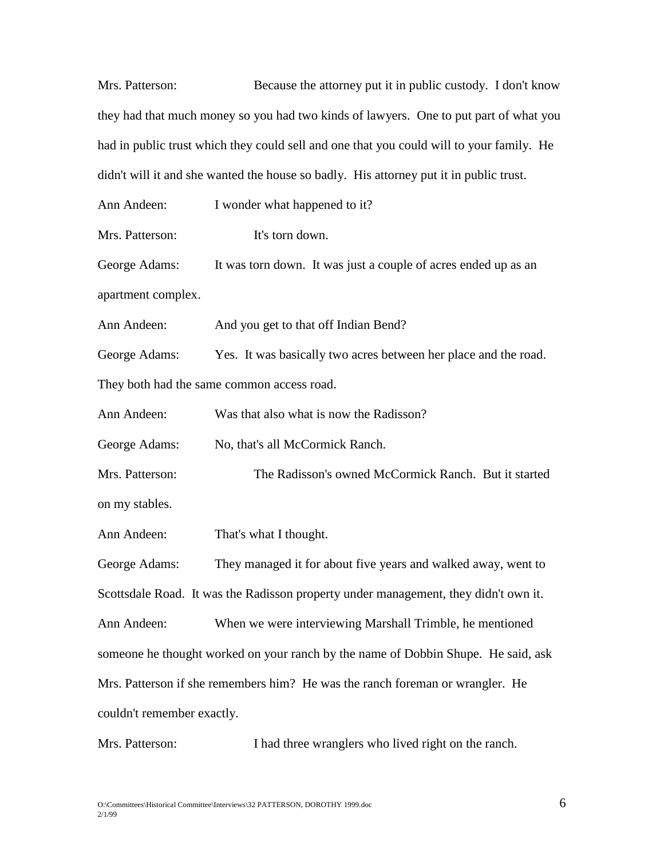| Mrs. Patterson:                                                                        | Because the attorney put it in public custody. I don't know                              |  |
|----------------------------------------------------------------------------------------|------------------------------------------------------------------------------------------|--|
|                                                                                        | they had that much money so you had two kinds of lawyers. One to put part of what you    |  |
|                                                                                        | had in public trust which they could sell and one that you could will to your family. He |  |
| didn't will it and she wanted the house so badly. His attorney put it in public trust. |                                                                                          |  |
| Ann Andeen:                                                                            | I wonder what happened to it?                                                            |  |
| Mrs. Patterson:                                                                        | It's torn down.                                                                          |  |
| George Adams:                                                                          | It was torn down. It was just a couple of acres ended up as an                           |  |
| apartment complex.                                                                     |                                                                                          |  |
| Ann Andeen:                                                                            | And you get to that off Indian Bend?                                                     |  |
| George Adams:                                                                          | Yes. It was basically two acres between her place and the road.                          |  |
|                                                                                        | They both had the same common access road.                                               |  |
| Ann Andeen:                                                                            | Was that also what is now the Radisson?                                                  |  |
| George Adams:                                                                          | No, that's all McCormick Ranch.                                                          |  |
| Mrs. Patterson:                                                                        | The Radisson's owned McCormick Ranch. But it started                                     |  |
| on my stables.                                                                         |                                                                                          |  |
| Ann Andeen:                                                                            | That's what I thought.                                                                   |  |
| George Adams:                                                                          | They managed it for about five years and walked away, went to                            |  |
|                                                                                        | Scottsdale Road. It was the Radisson property under management, they didn't own it.      |  |
| Ann Andeen:                                                                            | When we were interviewing Marshall Trimble, he mentioned                                 |  |
| someone he thought worked on your ranch by the name of Dobbin Shupe. He said, ask      |                                                                                          |  |
| Mrs. Patterson if she remembers him? He was the ranch foreman or wrangler. He          |                                                                                          |  |
| couldn't remember exactly.                                                             |                                                                                          |  |
|                                                                                        |                                                                                          |  |

Mrs. Patterson: I had three wranglers who lived right on the ranch.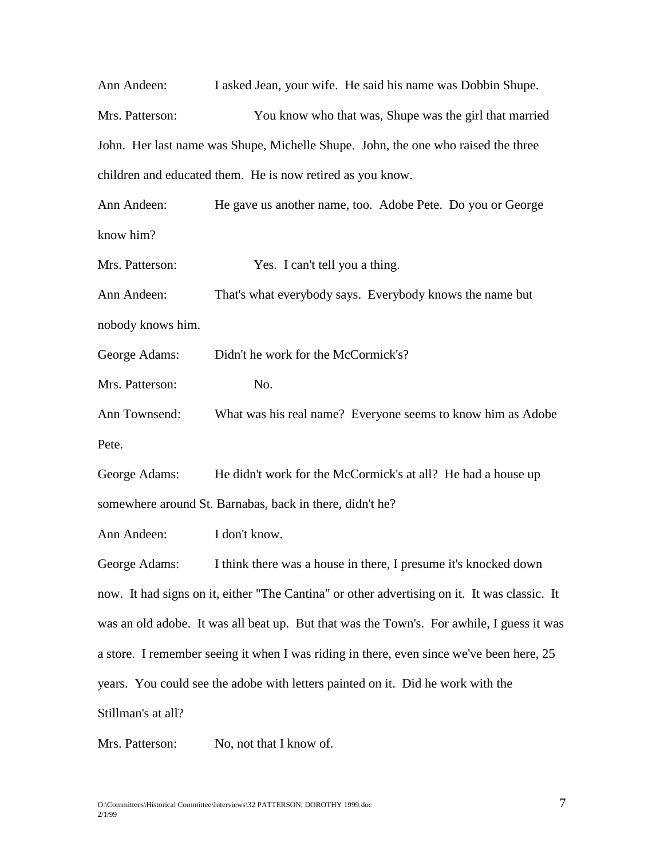| Ann Andeen:                                                                                  | I asked Jean, your wife. He said his name was Dobbin Shupe.                               |  |
|----------------------------------------------------------------------------------------------|-------------------------------------------------------------------------------------------|--|
| Mrs. Patterson:                                                                              | You know who that was, Shupe was the girl that married                                    |  |
| John. Her last name was Shupe, Michelle Shupe. John, the one who raised the three            |                                                                                           |  |
| children and educated them. He is now retired as you know.                                   |                                                                                           |  |
| Ann Andeen:                                                                                  | He gave us another name, too. Adobe Pete. Do you or George                                |  |
| know him?                                                                                    |                                                                                           |  |
| Mrs. Patterson:                                                                              | Yes. I can't tell you a thing.                                                            |  |
| Ann Andeen:                                                                                  | That's what everybody says. Everybody knows the name but                                  |  |
| nobody knows him.                                                                            |                                                                                           |  |
| George Adams:                                                                                | Didn't he work for the McCormick's?                                                       |  |
| Mrs. Patterson:                                                                              | No.                                                                                       |  |
| Ann Townsend:                                                                                | What was his real name? Everyone seems to know him as Adobe                               |  |
| Pete.                                                                                        |                                                                                           |  |
| George Adams:                                                                                | He didn't work for the McCormick's at all? He had a house up                              |  |
| somewhere around St. Barnabas, back in there, didn't he?                                     |                                                                                           |  |
| Ann Andeen:                                                                                  | I don't know.                                                                             |  |
| George Adams:                                                                                | I think there was a house in there, I presume it's knocked down                           |  |
| now. It had signs on it, either "The Cantina" or other advertising on it. It was classic. It |                                                                                           |  |
|                                                                                              | was an old adobe. It was all beat up. But that was the Town's. For awhile, I guess it was |  |
| a store. I remember seeing it when I was riding in there, even since we've been here, 25     |                                                                                           |  |

years. You could see the adobe with letters painted on it. Did he work with the

Stillman's at all?

Mrs. Patterson: No, not that I know of.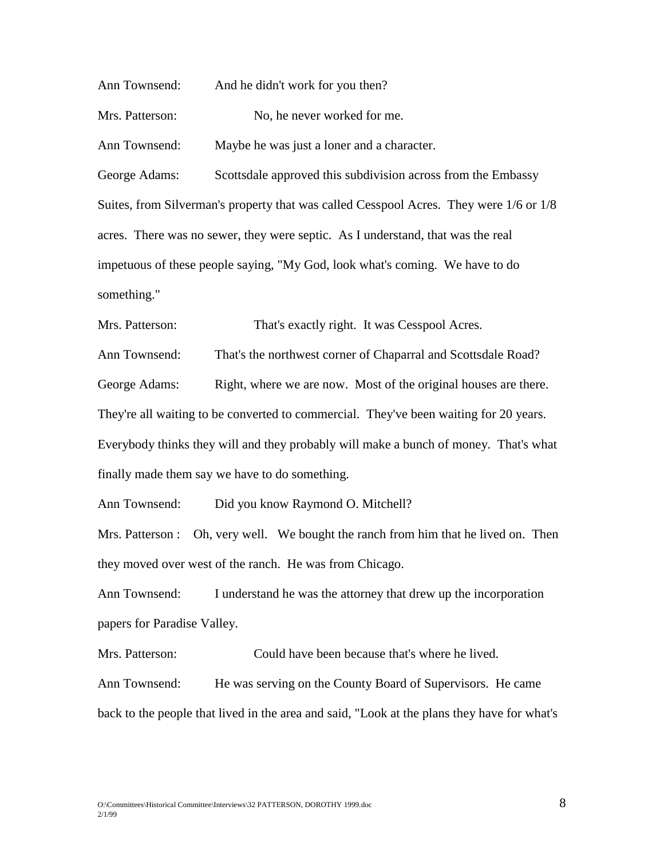Ann Townsend: And he didn't work for you then? Mrs. Patterson: No, he never worked for me. Ann Townsend: Maybe he was just a loner and a character. George Adams: Scottsdale approved this subdivision across from the Embassy Suites, from Silverman's property that was called Cesspool Acres. They were 1/6 or 1/8 acres. There was no sewer, they were septic. As I understand, that was the real impetuous of these people saying, "My God, look what's coming. We have to do something." Mrs. Patterson: That's exactly right. It was Cesspool Acres. Ann Townsend: That's the northwest corner of Chaparral and Scottsdale Road? George Adams: Right, where we are now. Most of the original houses are there. They're all waiting to be converted to commercial. They've been waiting for 20 years.

Everybody thinks they will and they probably will make a bunch of money. That's what finally made them say we have to do something.

Ann Townsend: Did you know Raymond O. Mitchell?

Mrs. Patterson : Oh, very well. We bought the ranch from him that he lived on. Then they moved over west of the ranch. He was from Chicago.

Ann Townsend: I understand he was the attorney that drew up the incorporation papers for Paradise Valley.

Mrs. Patterson: Could have been because that's where he lived. Ann Townsend: He was serving on the County Board of Supervisors. He came back to the people that lived in the area and said, "Look at the plans they have for what's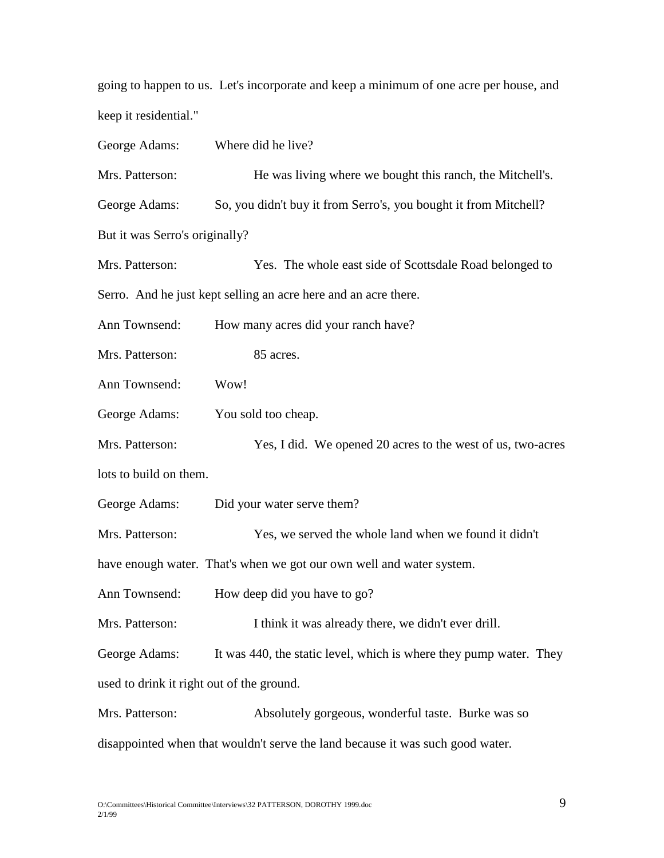going to happen to us. Let's incorporate and keep a minimum of one acre per house, and keep it residential."

George Adams: Where did he live? Mrs. Patterson: He was living where we bought this ranch, the Mitchell's. George Adams: So, you didn't buy it from Serro's, you bought it from Mitchell? But it was Serro's originally? Mrs. Patterson: Yes. The whole east side of Scottsdale Road belonged to Serro. And he just kept selling an acre here and an acre there. Ann Townsend: How many acres did your ranch have? Mrs. Patterson: 85 acres. Ann Townsend: Wow! George Adams: You sold too cheap. Mrs. Patterson: Yes, I did. We opened 20 acres to the west of us, two-acres lots to build on them. George Adams: Did your water serve them? Mrs. Patterson: Yes, we served the whole land when we found it didn't have enough water. That's when we got our own well and water system. Ann Townsend: How deep did you have to go? Mrs. Patterson: I think it was already there, we didn't ever drill. George Adams: It was 440, the static level, which is where they pump water. They used to drink it right out of the ground. Mrs. Patterson: Absolutely gorgeous, wonderful taste. Burke was so disappointed when that wouldn't serve the land because it was such good water.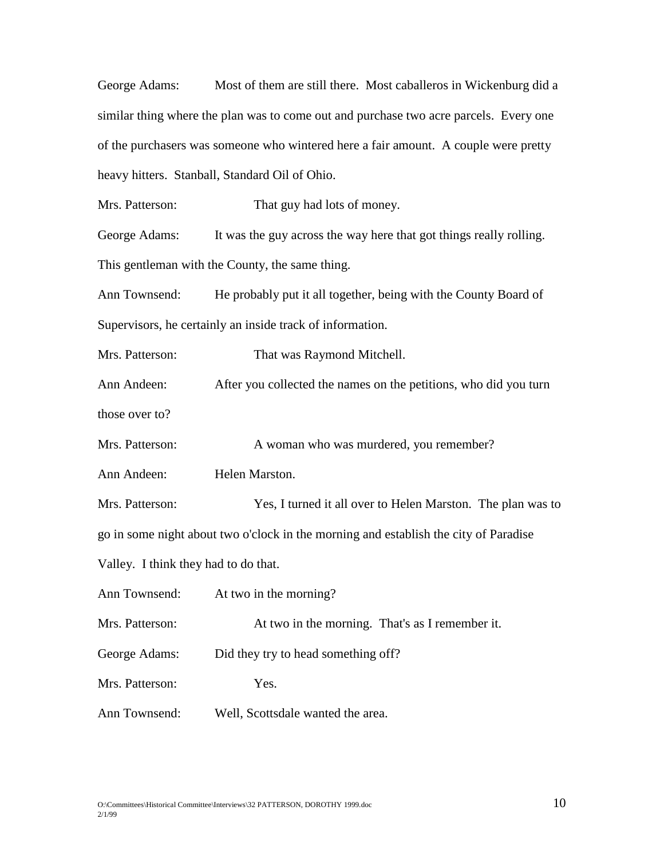George Adams: Most of them are still there. Most caballeros in Wickenburg did a similar thing where the plan was to come out and purchase two acre parcels. Every one of the purchasers was someone who wintered here a fair amount. A couple were pretty heavy hitters. Stanball, Standard Oil of Ohio.

Mrs. Patterson: That guy had lots of money.

George Adams: It was the guy across the way here that got things really rolling. This gentleman with the County, the same thing.

Ann Townsend: He probably put it all together, being with the County Board of Supervisors, he certainly an inside track of information.

Mrs. Patterson: That was Raymond Mitchell. Ann Andeen: After you collected the names on the petitions, who did you turn those over to?

Mrs. Patterson: A woman who was murdered, you remember?

Ann Andeen: Helen Marston.

Mrs. Patterson: Yes, I turned it all over to Helen Marston. The plan was to

go in some night about two o'clock in the morning and establish the city of Paradise

Valley. I think they had to do that.

Ann Townsend: At two in the morning?

Mrs. Patterson: At two in the morning. That's as I remember it.

George Adams: Did they try to head something off?

Mrs. Patterson: Yes.

Ann Townsend: Well, Scottsdale wanted the area.

O:\Committees\Historical Committee\Interviews\32 PATTERSON, DOROTHY 1999.doc  $10$ 2/1/99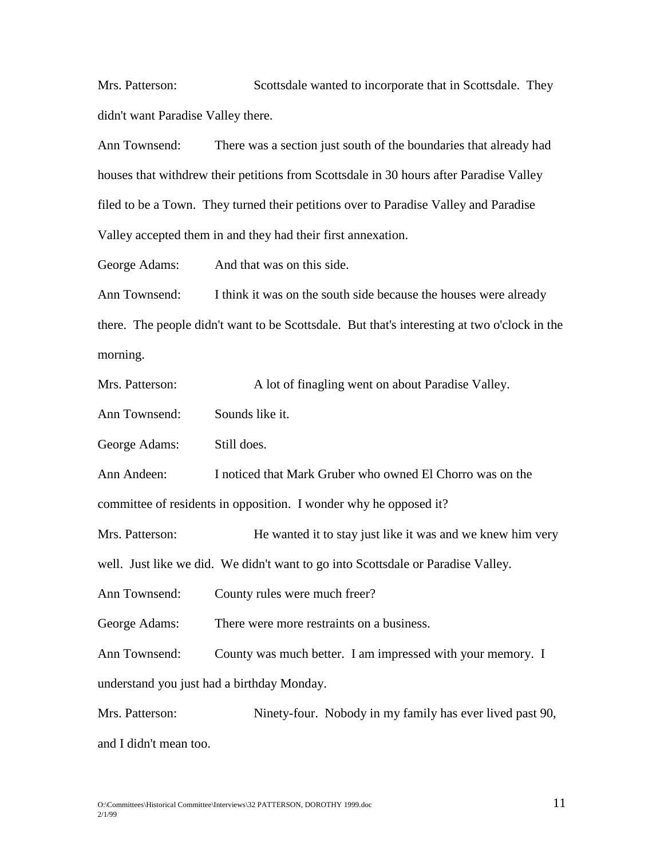Mrs. Patterson: Scottsdale wanted to incorporate that in Scottsdale. They didn't want Paradise Valley there.

Ann Townsend: There was a section just south of the boundaries that already had houses that withdrew their petitions from Scottsdale in 30 hours after Paradise Valley filed to be a Town. They turned their petitions over to Paradise Valley and Paradise Valley accepted them in and they had their first annexation.

George Adams: And that was on this side.

Ann Townsend: I think it was on the south side because the houses were already there. The people didn't want to be Scottsdale. But that's interesting at two o'clock in the morning.

Mrs. Patterson: A lot of finagling went on about Paradise Valley.

Ann Townsend: Sounds like it.

George Adams: Still does.

Ann Andeen: I noticed that Mark Gruber who owned El Chorro was on the committee of residents in opposition. I wonder why he opposed it?

Mrs. Patterson: He wanted it to stay just like it was and we knew him very

well. Just like we did. We didn't want to go into Scottsdale or Paradise Valley.

Ann Townsend: County rules were much freer?

George Adams: There were more restraints on a business.

Ann Townsend: County was much better. I am impressed with your memory. I

understand you just had a birthday Monday.

Mrs. Patterson: Ninety-four. Nobody in my family has ever lived past 90, and I didn't mean too.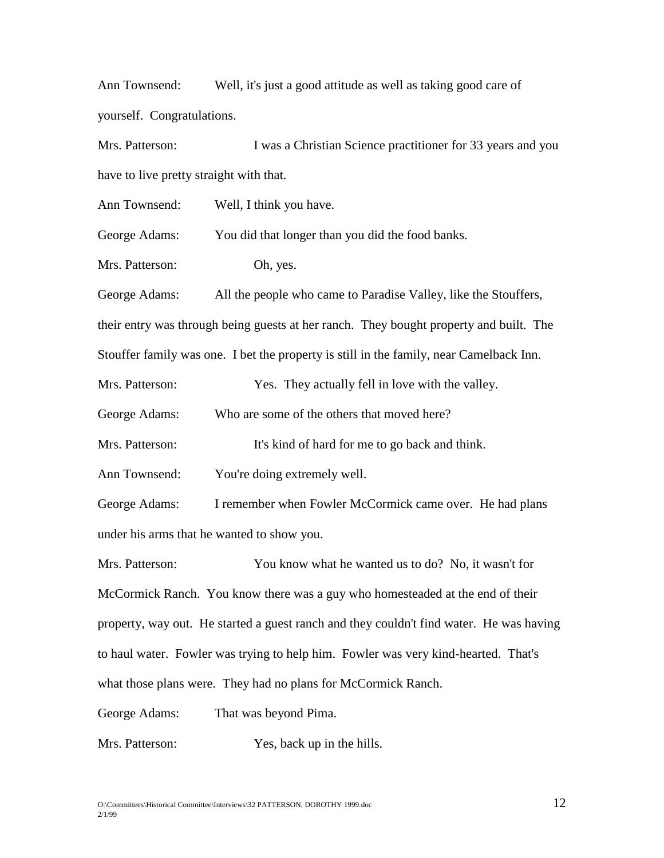Ann Townsend: Well, it's just a good attitude as well as taking good care of yourself. Congratulations.

Mrs. Patterson: I was a Christian Science practitioner for 33 years and you have to live pretty straight with that.

Ann Townsend: Well, I think you have.

George Adams: You did that longer than you did the food banks.

Mrs. Patterson: Oh, yes.

George Adams: All the people who came to Paradise Valley, like the Stouffers, their entry was through being guests at her ranch. They bought property and built. The Stouffer family was one. I bet the property is still in the family, near Camelback Inn.

Mrs. Patterson: Yes. They actually fell in love with the valley.

George Adams: Who are some of the others that moved here?

Mrs. Patterson: It's kind of hard for me to go back and think.

Ann Townsend: You're doing extremely well.

George Adams: I remember when Fowler McCormick came over. He had plans under his arms that he wanted to show you.

Mrs. Patterson: You know what he wanted us to do? No, it wasn't for McCormick Ranch. You know there was a guy who homesteaded at the end of their property, way out. He started a guest ranch and they couldn't find water. He was having to haul water. Fowler was trying to help him. Fowler was very kind-hearted. That's what those plans were. They had no plans for McCormick Ranch.

George Adams: That was beyond Pima.

Mrs. Patterson: Yes, back up in the hills.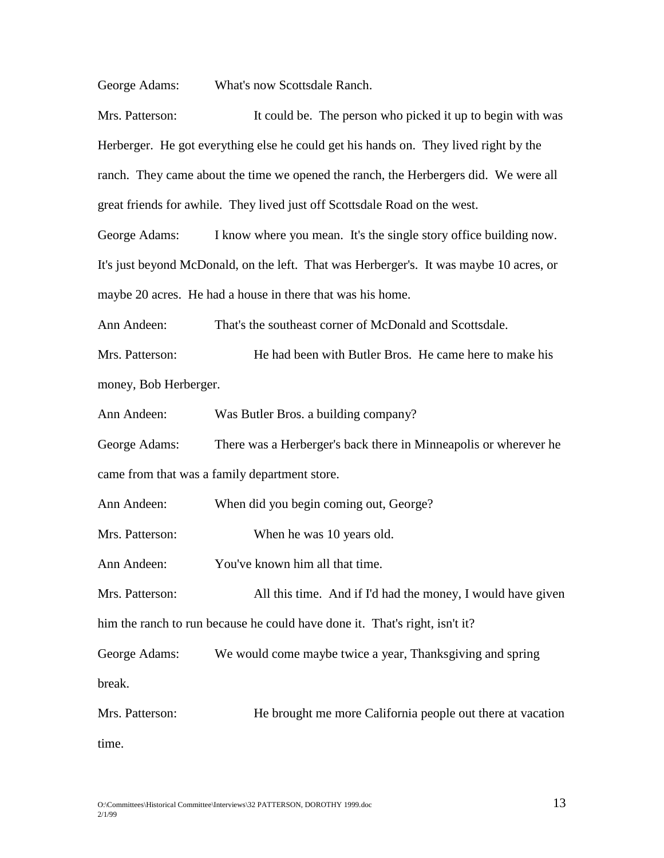George Adams: What's now Scottsdale Ranch.

Mrs. Patterson: It could be. The person who picked it up to begin with was Herberger. He got everything else he could get his hands on. They lived right by the ranch. They came about the time we opened the ranch, the Herbergers did. We were all great friends for awhile. They lived just off Scottsdale Road on the west.

George Adams: I know where you mean. It's the single story office building now. It's just beyond McDonald, on the left. That was Herberger's. It was maybe 10 acres, or maybe 20 acres. He had a house in there that was his home.

Ann Andeen: That's the southeast corner of McDonald and Scottsdale.

Mrs. Patterson: He had been with Butler Bros. He came here to make his money, Bob Herberger.

Ann Andeen: Was Butler Bros. a building company?

George Adams: There was a Herberger's back there in Minneapolis or wherever he came from that was a family department store.

Ann Andeen: When did you begin coming out, George?

Mrs. Patterson: When he was 10 years old.

Ann Andeen: You've known him all that time.

Mrs. Patterson: All this time. And if I'd had the money, I would have given him the ranch to run because he could have done it. That's right, isn't it?

George Adams: We would come maybe twice a year, Thanksgiving and spring

break.

Mrs. Patterson: He brought me more California people out there at vacation time.